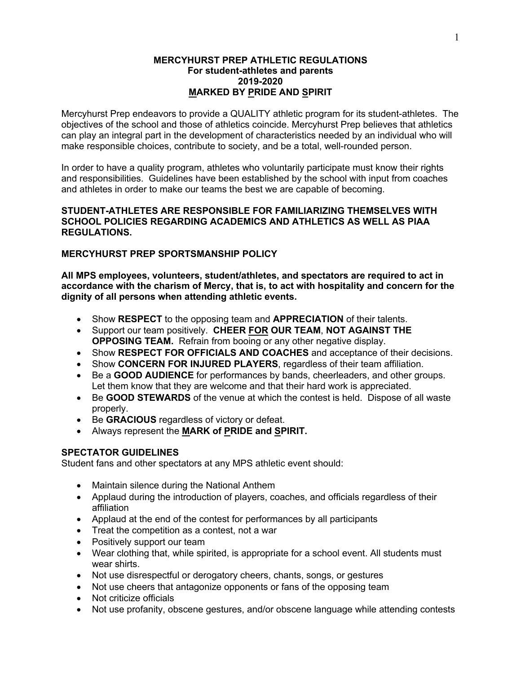#### **MERCYHURST PREP ATHLETIC REGULATIONS For student-athletes and parents 2019-2020 MARKED BY PRIDE AND SPIRIT**

Mercyhurst Prep endeavors to provide a QUALITY athletic program for its student-athletes. The objectives of the school and those of athletics coincide. Mercyhurst Prep believes that athletics can play an integral part in the development of characteristics needed by an individual who will make responsible choices, contribute to society, and be a total, well-rounded person.

In order to have a quality program, athletes who voluntarily participate must know their rights and responsibilities. Guidelines have been established by the school with input from coaches and athletes in order to make our teams the best we are capable of becoming.

#### **STUDENT-ATHLETES ARE RESPONSIBLE FOR FAMILIARIZING THEMSELVES WITH SCHOOL POLICIES REGARDING ACADEMICS AND ATHLETICS AS WELL AS PIAA REGULATIONS.**

### **MERCYHURST PREP SPORTSMANSHIP POLICY**

**All MPS employees, volunteers, student/athletes, and spectators are required to act in accordance with the charism of Mercy, that is, to act with hospitality and concern for the dignity of all persons when attending athletic events.**

- Show **RESPECT** to the opposing team and **APPRECIATION** of their talents.
- Support our team positively. **CHEER FOR OUR TEAM**, **NOT AGAINST THE OPPOSING TEAM.** Refrain from booing or any other negative display.
- Show **RESPECT FOR OFFICIALS AND COACHES** and acceptance of their decisions.
- Show **CONCERN FOR INJURED PLAYERS**, regardless of their team affiliation.
- Be a **GOOD AUDIENCE** for performances by bands, cheerleaders, and other groups. Let them know that they are welcome and that their hard work is appreciated.
- Be **GOOD STEWARDS** of the venue at which the contest is held. Dispose of all waste properly.
- Be **GRACIOUS** regardless of victory or defeat.
- Always represent the **MARK of PRIDE and SPIRIT.**

# **SPECTATOR GUIDELINES**

Student fans and other spectators at any MPS athletic event should:

- Maintain silence during the National Anthem
- Applaud during the introduction of players, coaches, and officials regardless of their affiliation
- Applaud at the end of the contest for performances by all participants
- Treat the competition as a contest, not a war
- Positively support our team
- Wear clothing that, while spirited, is appropriate for a school event. All students must wear shirts.
- Not use disrespectful or derogatory cheers, chants, songs, or gestures
- Not use cheers that antagonize opponents or fans of the opposing team
- Not criticize officials
- Not use profanity, obscene gestures, and/or obscene language while attending contests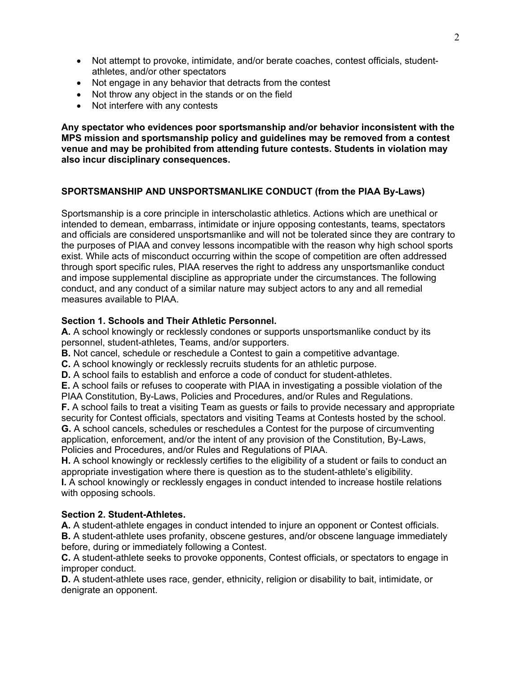- Not attempt to provoke, intimidate, and/or berate coaches, contest officials, studentathletes, and/or other spectators
- Not engage in any behavior that detracts from the contest
- Not throw any object in the stands or on the field
- Not interfere with any contests

**Any spectator who evidences poor sportsmanship and/or behavior inconsistent with the MPS mission and sportsmanship policy and guidelines may be removed from a contest venue and may be prohibited from attending future contests. Students in violation may also incur disciplinary consequences.**

# **SPORTSMANSHIP AND UNSPORTSMANLIKE CONDUCT (from the PIAA By-Laws)**

Sportsmanship is a core principle in interscholastic athletics. Actions which are unethical or intended to demean, embarrass, intimidate or injure opposing contestants, teams, spectators and officials are considered unsportsmanlike and will not be tolerated since they are contrary to the purposes of PIAA and convey lessons incompatible with the reason why high school sports exist. While acts of misconduct occurring within the scope of competition are often addressed through sport specific rules, PIAA reserves the right to address any unsportsmanlike conduct and impose supplemental discipline as appropriate under the circumstances. The following conduct, and any conduct of a similar nature may subject actors to any and all remedial measures available to PIAA

# **Section 1. Schools and Their Athletic Personnel.**

**A.** A school knowingly or recklessly condones or supports unsportsmanlike conduct by its personnel, student-athletes, Teams, and/or supporters.

**B.** Not cancel, schedule or reschedule a Contest to gain a competitive advantage.

**C.** A school knowingly or recklessly recruits students for an athletic purpose.

**D.** A school fails to establish and enforce a code of conduct for student-athletes.

**E.** A school fails or refuses to cooperate with PIAA in investigating a possible violation of the PIAA Constitution, By-Laws, Policies and Procedures, and/or Rules and Regulations.

**F.** A school fails to treat a visiting Team as guests or fails to provide necessary and appropriate security for Contest officials, spectators and visiting Teams at Contests hosted by the school.

**G.** A school cancels, schedules or reschedules a Contest for the purpose of circumventing application, enforcement, and/or the intent of any provision of the Constitution, By-Laws, Policies and Procedures, and/or Rules and Regulations of PIAA.

**H.** A school knowingly or recklessly certifies to the eligibility of a student or fails to conduct an appropriate investigation where there is question as to the student-athlete's eligibility.

**I.** A school knowingly or recklessly engages in conduct intended to increase hostile relations with opposing schools.

# **Section 2. Student-Athletes.**

**A.** A student-athlete engages in conduct intended to injure an opponent or Contest officials. **B.** A student-athlete uses profanity, obscene gestures, and/or obscene language immediately before, during or immediately following a Contest.

**C.** A student-athlete seeks to provoke opponents, Contest officials, or spectators to engage in improper conduct.

**D.** A student-athlete uses race, gender, ethnicity, religion or disability to bait, intimidate, or denigrate an opponent.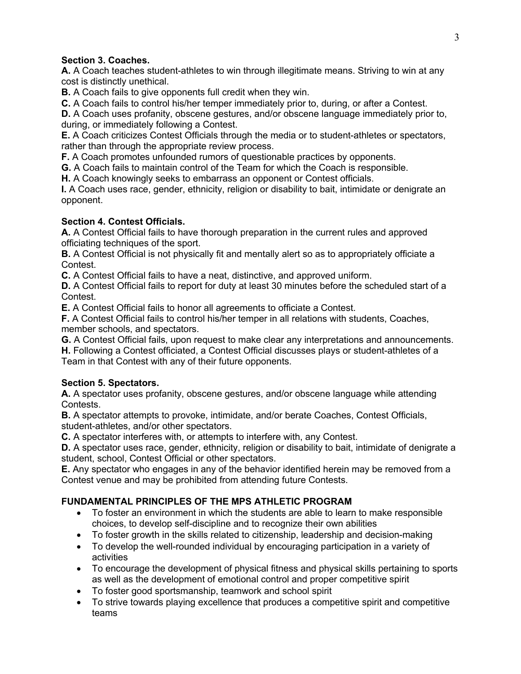# **Section 3. Coaches.**

**A.** A Coach teaches student-athletes to win through illegitimate means. Striving to win at any cost is distinctly unethical.

**B.** A Coach fails to give opponents full credit when they win.

**C.** A Coach fails to control his/her temper immediately prior to, during, or after a Contest.

**D.** A Coach uses profanity, obscene gestures, and/or obscene language immediately prior to, during, or immediately following a Contest.

**E.** A Coach criticizes Contest Officials through the media or to student-athletes or spectators, rather than through the appropriate review process.

**F.** A Coach promotes unfounded rumors of questionable practices by opponents.

**G.** A Coach fails to maintain control of the Team for which the Coach is responsible.

**H.** A Coach knowingly seeks to embarrass an opponent or Contest officials.

**I.** A Coach uses race, gender, ethnicity, religion or disability to bait, intimidate or denigrate an opponent.

# **Section 4. Contest Officials.**

**A.** A Contest Official fails to have thorough preparation in the current rules and approved officiating techniques of the sport.

**B.** A Contest Official is not physically fit and mentally alert so as to appropriately officiate a Contest.

**C.** A Contest Official fails to have a neat, distinctive, and approved uniform.

**D.** A Contest Official fails to report for duty at least 30 minutes before the scheduled start of a Contest.

**E.** A Contest Official fails to honor all agreements to officiate a Contest.

**F.** A Contest Official fails to control his/her temper in all relations with students, Coaches, member schools, and spectators.

**G.** A Contest Official fails, upon request to make clear any interpretations and announcements.

**H.** Following a Contest officiated, a Contest Official discusses plays or student-athletes of a Team in that Contest with any of their future opponents.

# **Section 5. Spectators.**

**A.** A spectator uses profanity, obscene gestures, and/or obscene language while attending Contests.

**B.** A spectator attempts to provoke, intimidate, and/or berate Coaches, Contest Officials, student-athletes, and/or other spectators.

**C.** A spectator interferes with, or attempts to interfere with, any Contest.

**D.** A spectator uses race, gender, ethnicity, religion or disability to bait, intimidate of denigrate a student, school, Contest Official or other spectators.

**E.** Any spectator who engages in any of the behavior identified herein may be removed from a Contest venue and may be prohibited from attending future Contests.

# **FUNDAMENTAL PRINCIPLES OF THE MPS ATHLETIC PROGRAM**

- To foster an environment in which the students are able to learn to make responsible choices, to develop self-discipline and to recognize their own abilities
- To foster growth in the skills related to citizenship, leadership and decision-making
- To develop the well-rounded individual by encouraging participation in a variety of activities
- To encourage the development of physical fitness and physical skills pertaining to sports as well as the development of emotional control and proper competitive spirit
- To foster good sportsmanship, teamwork and school spirit
- To strive towards playing excellence that produces a competitive spirit and competitive teams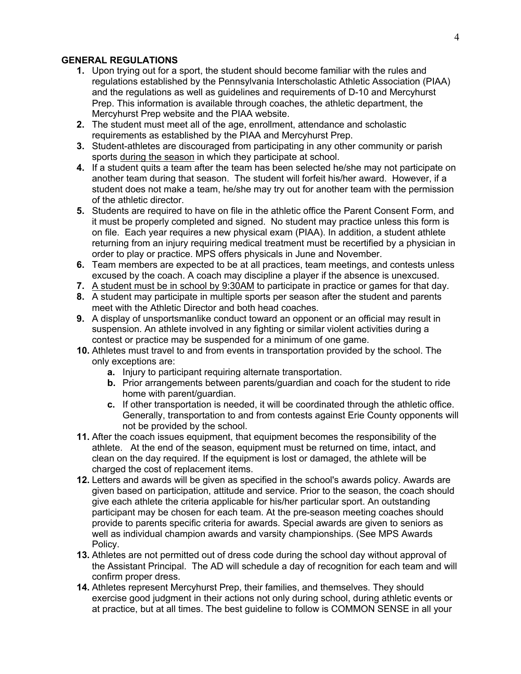### **GENERAL REGULATIONS**

- **1.** Upon trying out for a sport, the student should become familiar with the rules and regulations established by the Pennsylvania Interscholastic Athletic Association (PIAA) and the regulations as well as guidelines and requirements of D-10 and Mercyhurst Prep. This information is available through coaches, the athletic department, the Mercyhurst Prep website and the PIAA website.
- **2.** The student must meet all of the age, enrollment, attendance and scholastic requirements as established by the PIAA and Mercyhurst Prep.
- **3.** Student-athletes are discouraged from participating in any other community or parish sports during the season in which they participate at school.
- **4.** If a student quits a team after the team has been selected he/she may not participate on another team during that season. The student will forfeit his/her award. However, if a student does not make a team, he/she may try out for another team with the permission of the athletic director.
- **5.** Students are required to have on file in the athletic office the Parent Consent Form, and it must be properly completed and signed. No student may practice unless this form is on file. Each year requires a new physical exam (PIAA). In addition, a student athlete returning from an injury requiring medical treatment must be recertified by a physician in order to play or practice. MPS offers physicals in June and November.
- **6.** Team members are expected to be at all practices, team meetings, and contests unless excused by the coach. A coach may discipline a player if the absence is unexcused.
- **7.** A student must be in school by 9:30AM to participate in practice or games for that day.
- **8.** A student may participate in multiple sports per season after the student and parents meet with the Athletic Director and both head coaches.
- **9.** A display of unsportsmanlike conduct toward an opponent or an official may result in suspension. An athlete involved in any fighting or similar violent activities during a contest or practice may be suspended for a minimum of one game.
- **10.** Athletes must travel to and from events in transportation provided by the school. The only exceptions are:
	- **a.** Injury to participant requiring alternate transportation.
	- **b.** Prior arrangements between parents/guardian and coach for the student to ride home with parent/guardian.
	- **c.** If other transportation is needed, it will be coordinated through the athletic office. Generally, transportation to and from contests against Erie County opponents will not be provided by the school.
- **11.** After the coach issues equipment, that equipment becomes the responsibility of the athlete. At the end of the season, equipment must be returned on time, intact, and clean on the day required. If the equipment is lost or damaged, the athlete will be charged the cost of replacement items.
- **12.** Letters and awards will be given as specified in the school's awards policy. Awards are given based on participation, attitude and service. Prior to the season, the coach should give each athlete the criteria applicable for his/her particular sport. An outstanding participant may be chosen for each team. At the pre-season meeting coaches should provide to parents specific criteria for awards. Special awards are given to seniors as well as individual champion awards and varsity championships. (See MPS Awards Policy.
- **13.** Athletes are not permitted out of dress code during the school day without approval of the Assistant Principal. The AD will schedule a day of recognition for each team and will confirm proper dress.
- **14.** Athletes represent Mercyhurst Prep, their families, and themselves. They should exercise good judgment in their actions not only during school, during athletic events or at practice, but at all times. The best guideline to follow is COMMON SENSE in all your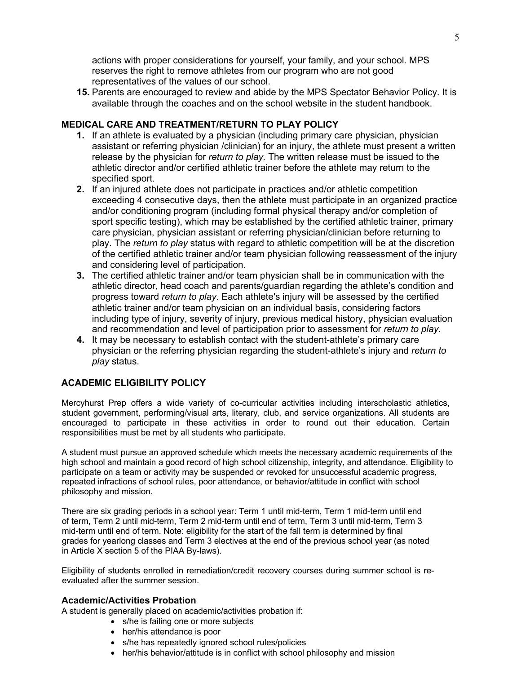actions with proper considerations for yourself, your family, and your school. MPS reserves the right to remove athletes from our program who are not good representatives of the values of our school.

**15.** Parents are encouraged to review and abide by the MPS Spectator Behavior Policy. It is available through the coaches and on the school website in the student handbook.

### **MEDICAL CARE AND TREATMENT/RETURN TO PLAY POLICY**

- **1.** If an athlete is evaluated by a physician (including primary care physician, physician assistant or referring physician /clinician) for an injury, the athlete must present a written release by the physician for *return to play.* The written release must be issued to the athletic director and/or certified athletic trainer before the athlete may return to the specified sport.
- **2.** If an injured athlete does not participate in practices and/or athletic competition exceeding 4 consecutive days, then the athlete must participate in an organized practice and/or conditioning program (including formal physical therapy and/or completion of sport specific testing), which may be established by the certified athletic trainer, primary care physician, physician assistant or referring physician/clinician before returning to play. The *return to play* status with regard to athletic competition will be at the discretion of the certified athletic trainer and/or team physician following reassessment of the injury and considering level of participation.
- **3.** The certified athletic trainer and/or team physician shall be in communication with the athletic director, head coach and parents/guardian regarding the athlete's condition and progress toward *return to play*. Each athlete's injury will be assessed by the certified athletic trainer and/or team physician on an individual basis, considering factors including type of injury, severity of injury, previous medical history, physician evaluation and recommendation and level of participation prior to assessment for *return to play*.
- **4.** It may be necessary to establish contact with the student-athlete's primary care physician or the referring physician regarding the student-athlete's injury and *return to play* status.

# **ACADEMIC ELIGIBILITY POLICY**

Mercyhurst Prep offers a wide variety of co-curricular activities including interscholastic athletics, student government, performing/visual arts, literary, club, and service organizations. All students are encouraged to participate in these activities in order to round out their education. Certain responsibilities must be met by all students who participate.

A student must pursue an approved schedule which meets the necessary academic requirements of the high school and maintain a good record of high school citizenship, integrity, and attendance. Eligibility to participate on a team or activity may be suspended or revoked for unsuccessful academic progress, repeated infractions of school rules, poor attendance, or behavior/attitude in conflict with school philosophy and mission.

There are six grading periods in a school year: Term 1 until mid-term, Term 1 mid-term until end of term, Term 2 until mid-term, Term 2 mid-term until end of term, Term 3 until mid-term, Term 3 mid-term until end of term. Note: eligibility for the start of the fall term is determined by final grades for yearlong classes and Term 3 electives at the end of the previous school year (as noted in Article X section 5 of the PIAA By-laws).

Eligibility of students enrolled in remediation/credit recovery courses during summer school is reevaluated after the summer session.

#### **Academic/Activities Probation**

A student is generally placed on academic/activities probation if:

- s/he is failing one or more subjects
- her/his attendance is poor
- s/he has repeatedly ignored school rules/policies
- her/his behavior/attitude is in conflict with school philosophy and mission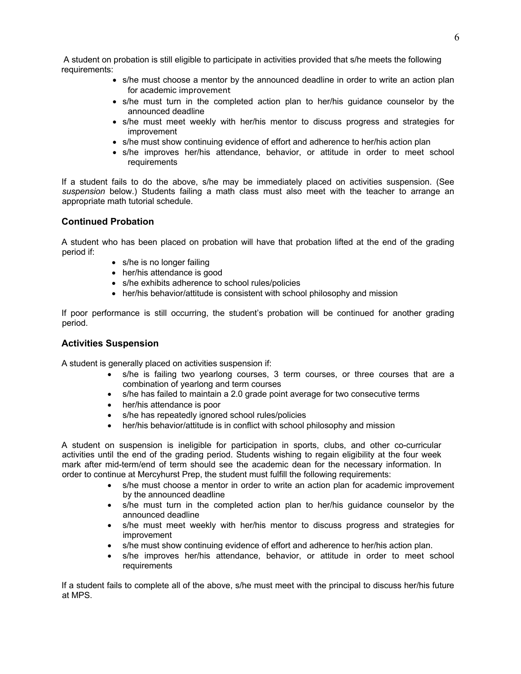A student on probation is still eligible to participate in activities provided that s/he meets the following requirements:

- s/he must choose a mentor by the announced deadline in order to write an action plan for academic improvement
- s/he must turn in the completed action plan to her/his guidance counselor by the announced deadline
- s/he must meet weekly with her/his mentor to discuss progress and strategies for improvement
- s/he must show continuing evidence of effort and adherence to her/his action plan
- s/he improves her/his attendance, behavior, or attitude in order to meet school **requirements**

If a student fails to do the above, s/he may be immediately placed on activities suspension. (See *suspension* below.) Students failing a math class must also meet with the teacher to arrange an appropriate math tutorial schedule.

#### **Continued Probation**

A student who has been placed on probation will have that probation lifted at the end of the grading period if:

- s/he is no longer failing
- her/his attendance is good
- s/he exhibits adherence to school rules/policies
- her/his behavior/attitude is consistent with school philosophy and mission

If poor performance is still occurring, the student's probation will be continued for another grading period.

#### **Activities Suspension**

A student is generally placed on activities suspension if:

- s/he is failing two yearlong courses, 3 term courses, or three courses that are a combination of yearlong and term courses
- s/he has failed to maintain a 2.0 grade point average for two consecutive terms
- her/his attendance is poor
- s/he has repeatedly ignored school rules/policies
- her/his behavior/attitude is in conflict with school philosophy and mission

A student on suspension is ineligible for participation in sports, clubs, and other co-curricular activities until the end of the grading period. Students wishing to regain eligibility at the four week mark after mid-term/end of term should see the academic dean for the necessary information. In order to continue at Mercyhurst Prep, the student must fulfill the following requirements:

- s/he must choose a mentor in order to write an action plan for academic improvement by the announced deadline
- s/he must turn in the completed action plan to her/his guidance counselor by the announced deadline
- s/he must meet weekly with her/his mentor to discuss progress and strategies for improvement
- s/he must show continuing evidence of effort and adherence to her/his action plan.
- s/he improves her/his attendance, behavior, or attitude in order to meet school requirements

If a student fails to complete all of the above, s/he must meet with the principal to discuss her/his future at MPS.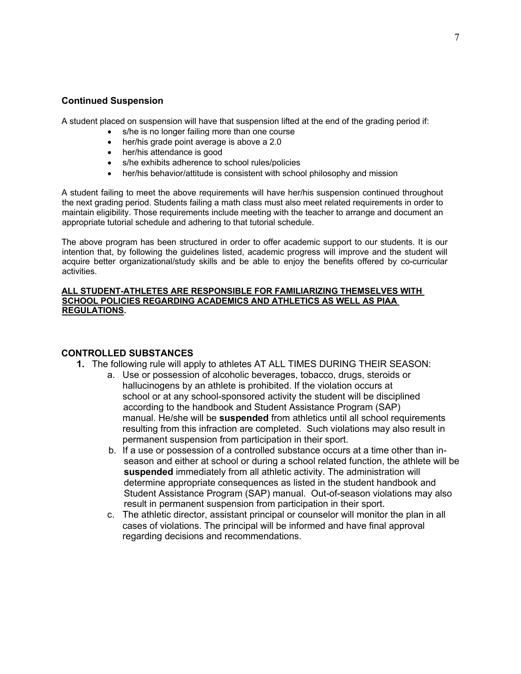#### **Continued Suspension**

A student placed on suspension will have that suspension lifted at the end of the grading period if:

- s/he is no longer failing more than one course
- her/his grade point average is above a 2.0
- her/his attendance is good
- s/he exhibits adherence to school rules/policies
- her/his behavior/attitude is consistent with school philosophy and mission

A student failing to meet the above requirements will have her/his suspension continued throughout the next grading period. Students failing a math class must also meet related requirements in order to maintain eligibility. Those requirements include meeting with the teacher to arrange and document an appropriate tutorial schedule and adhering to that tutorial schedule.

The above program has been structured in order to offer academic support to our students. It is our intention that, by following the guidelines listed, academic progress will improve and the student will acquire better organizational/study skills and be able to enjoy the benefits offered by co-curricular activities.

#### **ALL STUDENT-ATHLETES ARE RESPONSIBLE FOR FAMILIARIZING THEMSELVES WITH SCHOOL POLICIES REGARDING ACADEMICS AND ATHLETICS AS WELL AS PIAA REGULATIONS.**

#### **CONTROLLED SUBSTANCES**

- **1.** The following rule will apply to athletes AT ALL TIMES DURING THEIR SEASON:
	- a. Use or possession of alcoholic beverages, tobacco, drugs, steroids or hallucinogens by an athlete is prohibited. If the violation occurs at school or at any school-sponsored activity the student will be disciplined according to the handbook and Student Assistance Program (SAP) manual. He/she will be **suspended** from athletics until all school requirements resulting from this infraction are completed. Such violations may also result in permanent suspension from participation in their sport.
	- b. If a use or possession of a controlled substance occurs at a time other than inseason and either at school or during a school related function, the athlete will be **suspended** immediately from all athletic activity. The administration will determine appropriate consequences as listed in the student handbook and Student Assistance Program (SAP) manual. Out-of-season violations may also result in permanent suspension from participation in their sport.
	- c. The athletic director, assistant principal or counselor will monitor the plan in all cases of violations. The principal will be informed and have final approval regarding decisions and recommendations.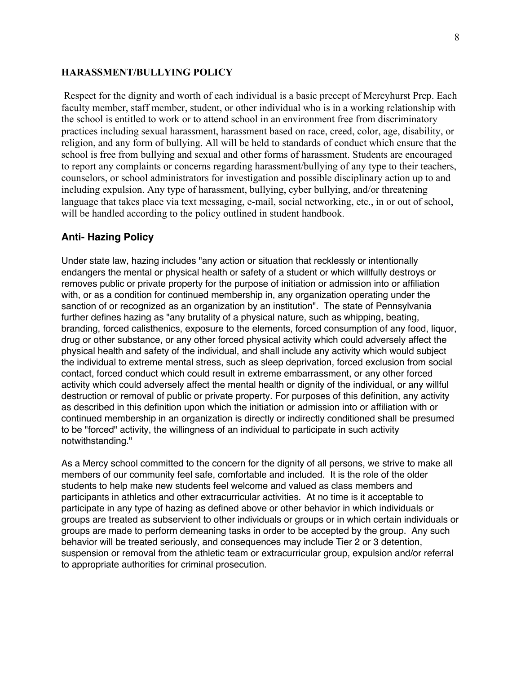#### **HARASSMENT/BULLYING POLICY**

Respect for the dignity and worth of each individual is a basic precept of Mercyhurst Prep. Each faculty member, staff member, student, or other individual who is in a working relationship with the school is entitled to work or to attend school in an environment free from discriminatory practices including sexual harassment, harassment based on race, creed, color, age, disability, or religion, and any form of bullying. All will be held to standards of conduct which ensure that the school is free from bullying and sexual and other forms of harassment. Students are encouraged to report any complaints or concerns regarding harassment/bullying of any type to their teachers, counselors, or school administrators for investigation and possible disciplinary action up to and including expulsion. Any type of harassment, bullying, cyber bullying, and/or threatening language that takes place via text messaging, e-mail, social networking, etc., in or out of school, will be handled according to the policy outlined in student handbook.

#### **Anti- Hazing Policy**

Under state law, hazing includes "any action or situation that recklessly or intentionally endangers the mental or physical health or safety of a student or which willfully destroys or removes public or private property for the purpose of initiation or admission into or affiliation with, or as a condition for continued membership in, any organization operating under the sanction of or recognized as an organization by an institution". The state of Pennsylvania further defines hazing as "any brutality of a physical nature, such as whipping, beating, branding, forced calisthenics, exposure to the elements, forced consumption of any food, liquor, drug or other substance, or any other forced physical activity which could adversely affect the physical health and safety of the individual, and shall include any activity which would subject the individual to extreme mental stress, such as sleep deprivation, forced exclusion from social contact, forced conduct which could result in extreme embarrassment, or any other forced activity which could adversely affect the mental health or dignity of the individual, or any willful destruction or removal of public or private property. For purposes of this definition, any activity as described in this definition upon which the initiation or admission into or affiliation with or continued membership in an organization is directly or indirectly conditioned shall be presumed to be "forced" activity, the willingness of an individual to participate in such activity notwithstanding."

As a Mercy school committed to the concern for the dignity of all persons, we strive to make all members of our community feel safe, comfortable and included. It is the role of the older students to help make new students feel welcome and valued as class members and participants in athletics and other extracurricular activities. At no time is it acceptable to participate in any type of hazing as defined above or other behavior in which individuals or groups are treated as subservient to other individuals or groups or in which certain individuals or groups are made to perform demeaning tasks in order to be accepted by the group. Any such behavior will be treated seriously, and consequences may include Tier 2 or 3 detention, suspension or removal from the athletic team or extracurricular group, expulsion and/or referral to appropriate authorities for criminal prosecution.